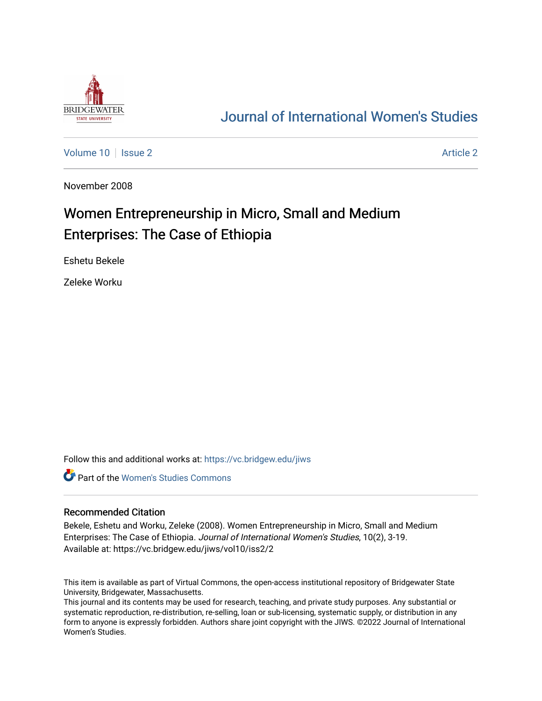

# [Journal of International Women's Studies](https://vc.bridgew.edu/jiws)

[Volume 10](https://vc.bridgew.edu/jiws/vol10) | [Issue 2](https://vc.bridgew.edu/jiws/vol10/iss2) Article 2

November 2008

# Women Entrepreneurship in Micro, Small and Medium Enterprises: The Case of Ethiopia

Eshetu Bekele

Zeleke Worku

Follow this and additional works at: [https://vc.bridgew.edu/jiws](https://vc.bridgew.edu/jiws?utm_source=vc.bridgew.edu%2Fjiws%2Fvol10%2Fiss2%2F2&utm_medium=PDF&utm_campaign=PDFCoverPages)

**C** Part of the Women's Studies Commons

#### Recommended Citation

Bekele, Eshetu and Worku, Zeleke (2008). Women Entrepreneurship in Micro, Small and Medium Enterprises: The Case of Ethiopia. Journal of International Women's Studies, 10(2), 3-19. Available at: https://vc.bridgew.edu/jiws/vol10/iss2/2

This item is available as part of Virtual Commons, the open-access institutional repository of Bridgewater State University, Bridgewater, Massachusetts.

This journal and its contents may be used for research, teaching, and private study purposes. Any substantial or systematic reproduction, re-distribution, re-selling, loan or sub-licensing, systematic supply, or distribution in any form to anyone is expressly forbidden. Authors share joint copyright with the JIWS. ©2022 Journal of International Women's Studies.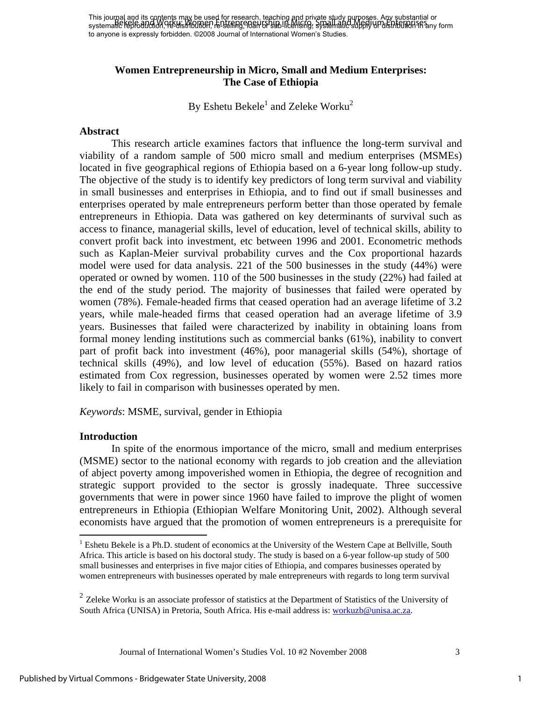This journal and its contents may be used for research, teaching and private study purposes. Any substantial or This journal and the model in Workus Hot Townstated, reprinting and private alleged with a representation or di to anyone is expressly forbidden. ©2008 Journal of International Women's Studies.

# **Women Entrepreneurship in Micro, Small and Medium Enterprises: The Case of Ethiopia**

By Eshetu Bekele $^1$  and Zeleke Worku<sup>2</sup>

#### **Abstract**

This research article examines factors that influence the long-term survival and viability of a random sample of 500 micro small and medium enterprises (MSMEs) located in five geographical regions of Ethiopia based on a 6-year long follow-up study. The objective of the study is to identify key predictors of long term survival and viability in small businesses and enterprises in Ethiopia, and to find out if small businesses and enterprises operated by male entrepreneurs perform better than those operated by female entrepreneurs in Ethiopia. Data was gathered on key determinants of survival such as access to finance, managerial skills, level of education, level of technical skills, ability to convert profit back into investment, etc between 1996 and 2001. Econometric methods such as Kaplan-Meier survival probability curves and the Cox proportional hazards model were used for data analysis. 221 of the 500 businesses in the study (44%) were operated or owned by women. 110 of the 500 businesses in the study (22%) had failed at the end of the study period. The majority of businesses that failed were operated by women (78%). Female-headed firms that ceased operation had an average lifetime of 3.2 years, while male-headed firms that ceased operation had an average lifetime of 3.9 years. Businesses that failed were characterized by inability in obtaining loans from formal money lending institutions such as commercial banks (61%), inability to convert part of profit back into investment (46%), poor managerial skills (54%), shortage of technical skills (49%), and low level of education (55%). Based on hazard ratios estimated from Cox regression, businesses operated by women were 2.52 times more likely to fail in comparison with businesses operated by men.

*Keywords*: MSME, survival, gender in Ethiopia

#### **Introduction**

 $\overline{a}$ 

In spite of the enormous importance of the micro, small and medium enterprises (MSME) sector to the national economy with regards to job creation and the alleviation of abject poverty among impoverished women in Ethiopia, the degree of recognition and strategic support provided to the sector is grossly inadequate. Three successive governments that were in power since 1960 have failed to improve the plight of women entrepreneurs in Ethiopia (Ethiopian Welfare Monitoring Unit, 2002). Although several economists have argued that the promotion of women entrepreneurs is a prerequisite for

Journal of International Women's Studies Vol. 10 #2 November 2008 3

1

<sup>&</sup>lt;sup>1</sup> Eshetu Bekele is a Ph.D. student of economics at the University of the Western Cape at Bellville, South Africa. This article is based on his doctoral study. The study is based on a 6-year follow-up study of 500 small businesses and enterprises in five major cities of Ethiopia, and compares businesses operated by women entrepreneurs with businesses operated by male entrepreneurs with regards to long term survival

 $<sup>2</sup>$  Zeleke Worku is an associate professor of statistics at the Department of Statistics of the University of</sup> South Africa (UNISA) in Pretoria, South Africa. His e-mail address is: workuzb@unisa.ac.za.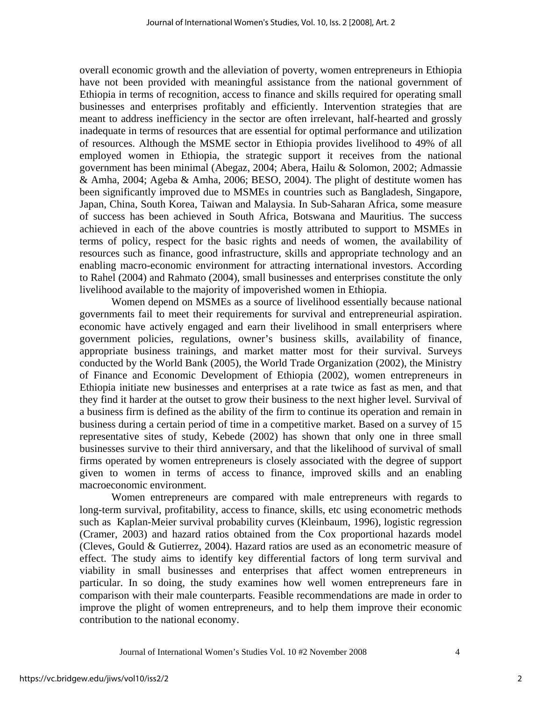overall economic growth and the alleviation of poverty, women entrepreneurs in Ethiopia have not been provided with meaningful assistance from the national government of Ethiopia in terms of recognition, access to finance and skills required for operating small businesses and enterprises profitably and efficiently. Intervention strategies that are meant to address inefficiency in the sector are often irrelevant, half-hearted and grossly inadequate in terms of resources that are essential for optimal performance and utilization of resources. Although the MSME sector in Ethiopia provides livelihood to 49% of all employed women in Ethiopia, the strategic support it receives from the national government has been minimal (Abegaz, 2004; Abera, Hailu & Solomon, 2002; Admassie & Amha, 2004; Ageba & Amha, 2006; BESO, 2004). The plight of destitute women has been significantly improved due to MSMEs in countries such as Bangladesh, Singapore, Japan, China, South Korea, Taiwan and Malaysia. In Sub-Saharan Africa, some measure of success has been achieved in South Africa, Botswana and Mauritius. The success achieved in each of the above countries is mostly attributed to support to MSMEs in terms of policy, respect for the basic rights and needs of women, the availability of resources such as finance, good infrastructure, skills and appropriate technology and an enabling macro-economic environment for attracting international investors. According to Rahel (2004) and Rahmato (2004), small businesses and enterprises constitute the only livelihood available to the majority of impoverished women in Ethiopia.

Women depend on MSMEs as a source of livelihood essentially because national governments fail to meet their requirements for survival and entrepreneurial aspiration. economic have actively engaged and earn their livelihood in small enterprisers where government policies, regulations, owner's business skills, availability of finance, appropriate business trainings, and market matter most for their survival. Surveys conducted by the World Bank (2005), the World Trade Organization (2002), the Ministry of Finance and Economic Development of Ethiopia (2002), women entrepreneurs in Ethiopia initiate new businesses and enterprises at a rate twice as fast as men, and that they find it harder at the outset to grow their business to the next higher level. Survival of a business firm is defined as the ability of the firm to continue its operation and remain in business during a certain period of time in a competitive market. Based on a survey of 15 representative sites of study, Kebede (2002) has shown that only one in three small businesses survive to their third anniversary, and that the likelihood of survival of small firms operated by women entrepreneurs is closely associated with the degree of support given to women in terms of access to finance, improved skills and an enabling macroeconomic environment.

Women entrepreneurs are compared with male entrepreneurs with regards to long-term survival, profitability, access to finance, skills, etc using econometric methods such as Kaplan-Meier survival probability curves (Kleinbaum, 1996), logistic regression (Cramer, 2003) and hazard ratios obtained from the Cox proportional hazards model (Cleves, Gould & Gutierrez, 2004). Hazard ratios are used as an econometric measure of effect. The study aims to identify key differential factors of long term survival and viability in small businesses and enterprises that affect women entrepreneurs in particular. In so doing, the study examines how well women entrepreneurs fare in comparison with their male counterparts. Feasible recommendations are made in order to improve the plight of women entrepreneurs, and to help them improve their economic contribution to the national economy.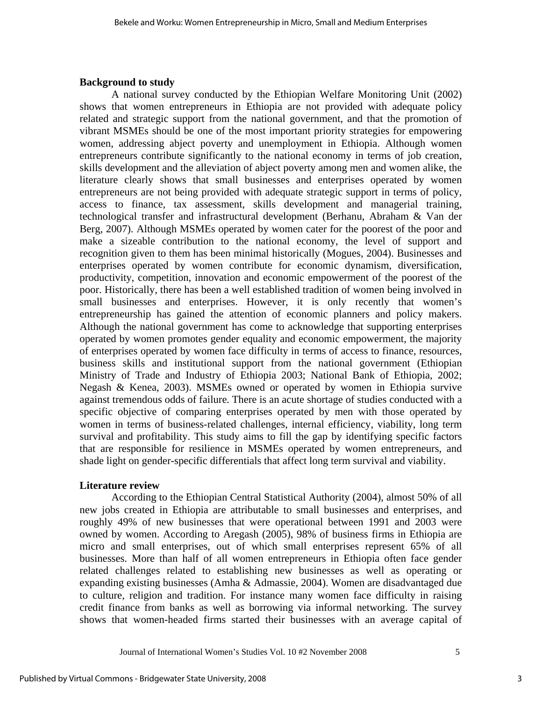#### **Background to study**

A national survey conducted by the Ethiopian Welfare Monitoring Unit (2002) shows that women entrepreneurs in Ethiopia are not provided with adequate policy related and strategic support from the national government, and that the promotion of vibrant MSMEs should be one of the most important priority strategies for empowering women, addressing abject poverty and unemployment in Ethiopia. Although women entrepreneurs contribute significantly to the national economy in terms of job creation, skills development and the alleviation of abject poverty among men and women alike, the literature clearly shows that small businesses and enterprises operated by women entrepreneurs are not being provided with adequate strategic support in terms of policy, access to finance, tax assessment, skills development and managerial training, technological transfer and infrastructural development (Berhanu, Abraham & Van der Berg, 2007). Although MSMEs operated by women cater for the poorest of the poor and make a sizeable contribution to the national economy, the level of support and recognition given to them has been minimal historically (Mogues, 2004). Businesses and enterprises operated by women contribute for economic dynamism, diversification, productivity, competition, innovation and economic empowerment of the poorest of the poor. Historically, there has been a well established tradition of women being involved in small businesses and enterprises. However, it is only recently that women's entrepreneurship has gained the attention of economic planners and policy makers. Although the national government has come to acknowledge that supporting enterprises operated by women promotes gender equality and economic empowerment, the majority of enterprises operated by women face difficulty in terms of access to finance, resources, business skills and institutional support from the national government (Ethiopian Ministry of Trade and Industry of Ethiopia 2003; National Bank of Ethiopia, 2002; Negash & Kenea, 2003). MSMEs owned or operated by women in Ethiopia survive against tremendous odds of failure. There is an acute shortage of studies conducted with a specific objective of comparing enterprises operated by men with those operated by women in terms of business-related challenges, internal efficiency, viability, long term survival and profitability. This study aims to fill the gap by identifying specific factors that are responsible for resilience in MSMEs operated by women entrepreneurs, and shade light on gender-specific differentials that affect long term survival and viability.

#### **Literature review**

According to the Ethiopian Central Statistical Authority (2004), almost 50% of all new jobs created in Ethiopia are attributable to small businesses and enterprises, and roughly 49% of new businesses that were operational between 1991 and 2003 were owned by women. According to Aregash (2005), 98% of business firms in Ethiopia are micro and small enterprises, out of which small enterprises represent 65% of all businesses. More than half of all women entrepreneurs in Ethiopia often face gender related challenges related to establishing new businesses as well as operating or expanding existing businesses (Amha & Admassie, 2004). Women are disadvantaged due to culture, religion and tradition. For instance many women face difficulty in raising credit finance from banks as well as borrowing via informal networking. The survey shows that women-headed firms started their businesses with an average capital of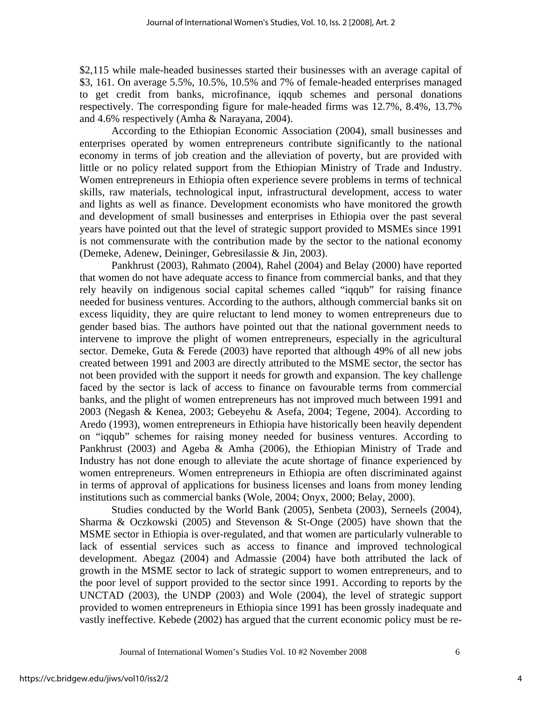\$2,115 while male-headed businesses started their businesses with an average capital of \$3, 161. On average 5.5%, 10.5%, 10.5% and 7% of female-headed enterprises managed to get credit from banks, microfinance, iqqub schemes and personal donations respectively. The corresponding figure for male-headed firms was 12.7%, 8.4%, 13.7% and 4.6% respectively (Amha & Narayana, 2004).

According to the Ethiopian Economic Association (2004), small businesses and enterprises operated by women entrepreneurs contribute significantly to the national economy in terms of job creation and the alleviation of poverty, but are provided with little or no policy related support from the Ethiopian Ministry of Trade and Industry. Women entrepreneurs in Ethiopia often experience severe problems in terms of technical skills, raw materials, technological input, infrastructural development, access to water and lights as well as finance. Development economists who have monitored the growth and development of small businesses and enterprises in Ethiopia over the past several years have pointed out that the level of strategic support provided to MSMEs since 1991 is not commensurate with the contribution made by the sector to the national economy (Demeke, Adenew, Deininger, Gebresilassie & Jin, 2003).

Pankhrust (2003), Rahmato (2004), Rahel (2004) and Belay (2000) have reported that women do not have adequate access to finance from commercial banks, and that they rely heavily on indigenous social capital schemes called "iqqub" for raising finance needed for business ventures. According to the authors, although commercial banks sit on excess liquidity, they are quire reluctant to lend money to women entrepreneurs due to gender based bias. The authors have pointed out that the national government needs to intervene to improve the plight of women entrepreneurs, especially in the agricultural sector. Demeke, Guta & Ferede (2003) have reported that although 49% of all new jobs created between 1991 and 2003 are directly attributed to the MSME sector, the sector has not been provided with the support it needs for growth and expansion. The key challenge faced by the sector is lack of access to finance on favourable terms from commercial banks, and the plight of women entrepreneurs has not improved much between 1991 and 2003 (Negash & Kenea, 2003; Gebeyehu & Asefa, 2004; Tegene, 2004). According to Aredo (1993), women entrepreneurs in Ethiopia have historically been heavily dependent on "iqqub" schemes for raising money needed for business ventures. According to Pankhrust (2003) and Ageba & Amha (2006), the Ethiopian Ministry of Trade and Industry has not done enough to alleviate the acute shortage of finance experienced by women entrepreneurs. Women entrepreneurs in Ethiopia are often discriminated against in terms of approval of applications for business licenses and loans from money lending institutions such as commercial banks (Wole, 2004; Onyx, 2000; Belay, 2000).

Studies conducted by the World Bank (2005), Senbeta (2003), Serneels (2004), Sharma & Oczkowski (2005) and Stevenson & St-Onge (2005) have shown that the MSME sector in Ethiopia is over-regulated, and that women are particularly vulnerable to lack of essential services such as access to finance and improved technological development. Abegaz (2004) and Admassie (2004) have both attributed the lack of growth in the MSME sector to lack of strategic support to women entrepreneurs, and to the poor level of support provided to the sector since 1991. According to reports by the UNCTAD (2003), the UNDP (2003) and Wole (2004), the level of strategic support provided to women entrepreneurs in Ethiopia since 1991 has been grossly inadequate and vastly ineffective. Kebede (2002) has argued that the current economic policy must be re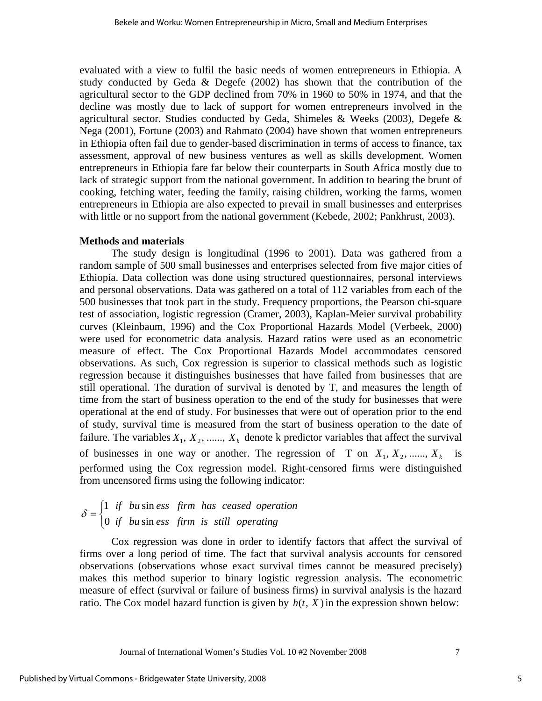evaluated with a view to fulfil the basic needs of women entrepreneurs in Ethiopia. A study conducted by Geda & Degefe (2002) has shown that the contribution of the agricultural sector to the GDP declined from 70% in 1960 to 50% in 1974, and that the decline was mostly due to lack of support for women entrepreneurs involved in the agricultural sector. Studies conducted by Geda, Shimeles & Weeks (2003), Degefe  $\&$ Nega (2001), Fortune (2003) and Rahmato (2004) have shown that women entrepreneurs in Ethiopia often fail due to gender-based discrimination in terms of access to finance, tax assessment, approval of new business ventures as well as skills development. Women entrepreneurs in Ethiopia fare far below their counterparts in South Africa mostly due to lack of strategic support from the national government. In addition to bearing the brunt of cooking, fetching water, feeding the family, raising children, working the farms, women entrepreneurs in Ethiopia are also expected to prevail in small businesses and enterprises with little or no support from the national government (Kebede, 2002; Pankhrust, 2003).

### **Methods and materials**

The study design is longitudinal (1996 to 2001). Data was gathered from a random sample of 500 small businesses and enterprises selected from five major cities of Ethiopia. Data collection was done using structured questionnaires, personal interviews and personal observations. Data was gathered on a total of 112 variables from each of the 500 businesses that took part in the study. Frequency proportions, the Pearson chi-square test of association, logistic regression (Cramer, 2003), Kaplan-Meier survival probability curves (Kleinbaum, 1996) and the Cox Proportional Hazards Model (Verbeek, 2000) were used for econometric data analysis. Hazard ratios were used as an econometric measure of effect. The Cox Proportional Hazards Model accommodates censored observations. As such, Cox regression is superior to classical methods such as logistic regression because it distinguishes businesses that have failed from businesses that are still operational. The duration of survival is denoted by T, and measures the length of time from the start of business operation to the end of the study for businesses that were operational at the end of study. For businesses that were out of operation prior to the end of study, survival time is measured from the start of business operation to the date of failure. The variables  $X_1, X_2, \dots, X_k$  denote k predictor variables that affect the survival of businesses in one way or another. The regression of T on  $X_1, X_2, \ldots, X_k$  is performed using the Cox regression model. Right-censored firms were distinguished from uncensored firms using the following indicator:

#### $\overline{a}$  $=\begin{cases} 1 & \text{if} \quad bu \sin e s s & \text{firm} \quad has \quad ca s e d \quad operation \\ 0 & \text{if} \quad bu \sin e s s & \text{firm} \quad is \quad still \quad operating \end{cases}$ 0 if  $bu \sin$  $\delta = \begin{cases} 1 & \text{if} \quad bu \sin \theta \end{cases}$

Cox regression was done in order to identify factors that affect the survival of firms over a long period of time. The fact that survival analysis accounts for censored observations (observations whose exact survival times cannot be measured precisely) makes this method superior to binary logistic regression analysis. The econometric measure of effect (survival or failure of business firms) in survival analysis is the hazard ratio. The Cox model hazard function is given by  $h(t, X)$  in the expression shown below: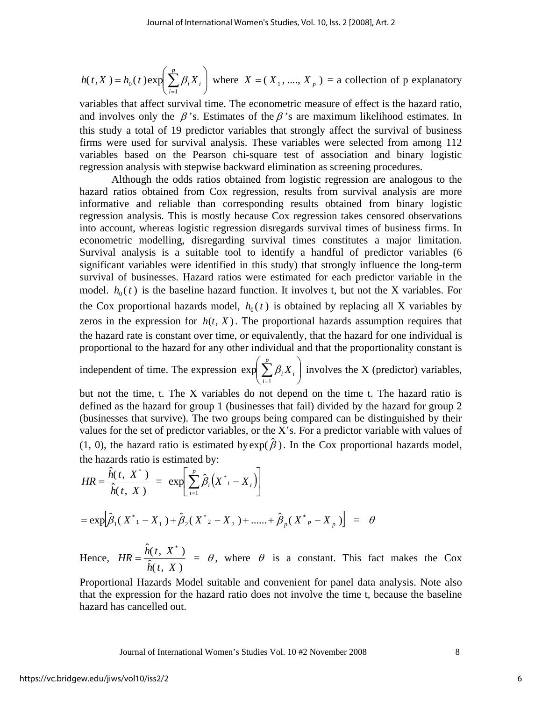$$
h(t, X) = h_0(t) \exp\left(\sum_{i=1}^p \beta_i X_i\right)
$$
 where  $X = (X_1, \dots, X_p) =$  a collection of p explanatory

variables that affect survival time. The econometric measure of effect is the hazard ratio, and involves only the  $\beta$ 's. Estimates of the  $\beta$ 's are maximum likelihood estimates. In this study a total of 19 predictor variables that strongly affect the survival of business firms were used for survival analysis. These variables were selected from among 112 variables based on the Pearson chi-square test of association and binary logistic regression analysis with stepwise backward elimination as screening procedures.

Although the odds ratios obtained from logistic regression are analogous to the hazard ratios obtained from Cox regression, results from survival analysis are more informative and reliable than corresponding results obtained from binary logistic regression analysis. This is mostly because Cox regression takes censored observations into account, whereas logistic regression disregards survival times of business firms. In econometric modelling, disregarding survival times constitutes a major limitation. Survival analysis is a suitable tool to identify a handful of predictor variables (6 significant variables were identified in this study) that strongly influence the long-term survival of businesses. Hazard ratios were estimated for each predictor variable in the model.  $h_0(t)$  is the baseline hazard function. It involves t, but not the X variables. For the Cox proportional hazards model,  $h_0(t)$  is obtained by replacing all X variables by zeros in the expression for  $h(t, X)$ . The proportional hazards assumption requires that the hazard rate is constant over time, or equivalently, that the hazard for one individual is proportional to the hazard for any other individual and that the proportionality constant is

independent of time. The expression  $\exp \sum \beta_i X_i$ ⎠ ⎞  $\parallel$ ⎝  $\left( \sum_{i=1}^p \right)$ *i*  $X_i$ 1  $\exp\sum \beta_i X_i$  involves the X (predictor) variables,

but not the time, t. The X variables do not depend on the time t. The hazard ratio is defined as the hazard for group 1 (businesses that fail) divided by the hazard for group 2 (businesses that survive). The two groups being compared can be distinguished by their values for the set of predictor variables, or the X's. For a predictor variable with values of (1, 0), the hazard ratio is estimated by  $\exp(\hat{\beta})$ . In the Cox proportional hazards model, the hazards ratio is estimated by:

$$
HR = \frac{\hat{h}(t, X^*)}{\hat{h}(t, X)} = \exp\left[\sum_{i=1}^p \hat{\beta}_i (X^* - X_i)\right]
$$
  
=  $\exp\left[\hat{\beta}_1 (X^* - X_1) + \hat{\beta}_2 (X^* - X_2) + \dots + \hat{\beta}_p (X^* - X_p)\right] = \theta$ 

Hence,  $HR = \frac{h(t, X)}{\hat{h}(t, X)}$  $\hat{h}(\,t$  ,  $\,X^{\,\ast}\,)$  $h(t, X)$  $HR = \frac{h(t, X^*)}{\lambda} = \theta$ , where  $\theta$  is a constant. This fact makes the Cox

Proportional Hazards Model suitable and convenient for panel data analysis. Note also that the expression for the hazard ratio does not involve the time t, because the baseline hazard has cancelled out.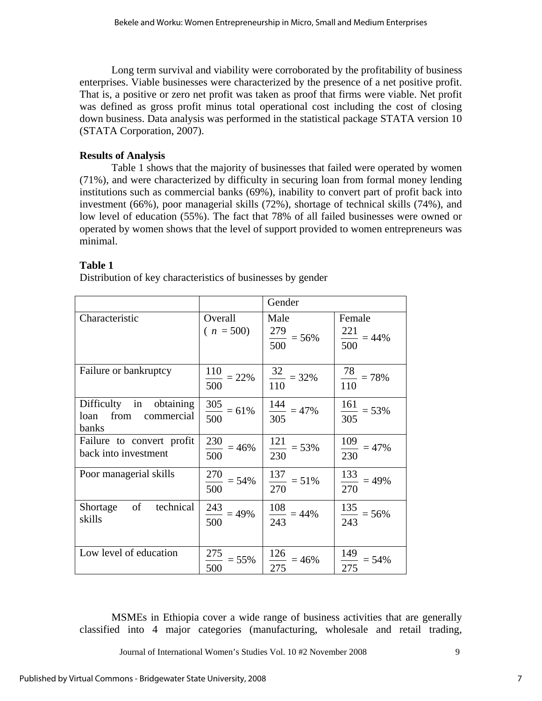Long term survival and viability were corroborated by the profitability of business enterprises. Viable businesses were characterized by the presence of a net positive profit. That is, a positive or zero net profit was taken as proof that firms were viable. Net profit was defined as gross profit minus total operational cost including the cost of closing down business. Data analysis was performed in the statistical package STATA version 10 (STATA Corporation, 2007).

# **Results of Analysis**

Table 1 shows that the majority of businesses that failed were operated by women (71%), and were characterized by difficulty in securing loan from formal money lending institutions such as commercial banks (69%), inability to convert part of profit back into investment (66%), poor managerial skills (72%), shortage of technical skills (74%), and low level of education (55%). The fact that 78% of all failed businesses were owned or operated by women shows that the level of support provided to women entrepreneurs was minimal.

### **Table 1**

Distribution of key characteristics of businesses by gender

|                                                          |                               | Gender                           |                                   |
|----------------------------------------------------------|-------------------------------|----------------------------------|-----------------------------------|
| Characteristic                                           | Overall<br>$(n = 500)$        | Male<br>$\frac{279}{500} = 56\%$ | Female<br>$\frac{221}{500}$ = 44% |
| Failure or bankruptcy                                    | $\frac{110}{12}$ = 22%<br>500 | $\frac{32}{110} = 32\%$          | $\frac{78}{110} = 78\%$           |
| Difficulty in obtaining<br>loan from commercial<br>banks | $\frac{305}{500} = 61\%$      | $\frac{144}{305}$ = 47%          | $\frac{161}{305} = 53\%$          |
| Failure to convert profit<br>back into investment        | $\frac{230}{500} = 46\%$      | $\frac{121}{230} = 53\%$         | $\frac{109}{230}$ = 47%           |
| Poor managerial skills                                   | $\frac{270}{1}$ = 54%<br>500  | $\frac{137}{270}$ = 51%          | $\frac{133}{270}$ = 49%           |
| Shortage of technical<br>skills                          | $\frac{243}{1}$ = 49%<br>500  | $\frac{108}{243}$ = 44%          | $\frac{135}{243} = 56\%$          |
| Low level of education                                   | $\frac{275}{1}$ = 55%<br>500  | $\frac{126}{1}$ = 46%<br>275     | $\frac{149}{275}$ = 54%           |

MSMEs in Ethiopia cover a wide range of business activities that are generally classified into 4 major categories (manufacturing, wholesale and retail trading,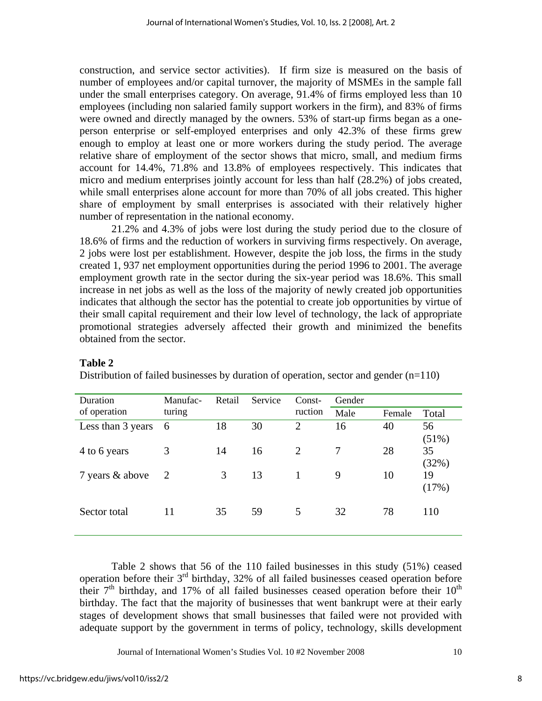construction, and service sector activities). If firm size is measured on the basis of number of employees and/or capital turnover, the majority of MSMEs in the sample fall under the small enterprises category. On average, 91.4% of firms employed less than 10 employees (including non salaried family support workers in the firm), and 83% of firms were owned and directly managed by the owners. 53% of start-up firms began as a oneperson enterprise or self-employed enterprises and only 42.3% of these firms grew enough to employ at least one or more workers during the study period. The average relative share of employment of the sector shows that micro, small, and medium firms account for 14.4%, 71.8% and 13.8% of employees respectively. This indicates that micro and medium enterprises jointly account for less than half (28.2%) of jobs created, while small enterprises alone account for more than 70% of all jobs created. This higher share of employment by small enterprises is associated with their relatively higher number of representation in the national economy.

21.2% and 4.3% of jobs were lost during the study period due to the closure of 18.6% of firms and the reduction of workers in surviving firms respectively. On average, 2 jobs were lost per establishment. However, despite the job loss, the firms in the study created 1, 937 net employment opportunities during the period 1996 to 2001. The average employment growth rate in the sector during the six-year period was 18.6%. This small increase in net jobs as well as the loss of the majority of newly created job opportunities indicates that although the sector has the potential to create job opportunities by virtue of their small capital requirement and their low level of technology, the lack of appropriate promotional strategies adversely affected their growth and minimized the benefits obtained from the sector.

| Duration          | Manufac- | Retail | Service | Const-         | Gender |        |             |
|-------------------|----------|--------|---------|----------------|--------|--------|-------------|
| of operation      | turing   |        |         | ruction        | Male   | Female | Total       |
| Less than 3 years | 6        | 18     | 30      | $\overline{2}$ | 16     | 40     | 56<br>(51%) |
| 4 to 6 years      | 3        | 14     | 16      | 2              | 7      | 28     | 35<br>(32%) |
| 7 years & above   | -2       | 3      | 13      |                | 9      | 10     | 19<br>(17%) |
| Sector total      | 11       | 35     | 59      | 5              | 32     | 78     | 110         |

### **Table 2**

Distribution of failed businesses by duration of operation, sector and gender  $(n=110)$ 

Table 2 shows that 56 of the 110 failed businesses in this study (51%) ceased operation before their  $3<sup>rd</sup>$  birthday, 32% of all failed businesses ceased operation before their  $7<sup>th</sup>$  birthday, and 17% of all failed businesses ceased operation before their  $10<sup>th</sup>$ birthday. The fact that the majority of businesses that went bankrupt were at their early stages of development shows that small businesses that failed were not provided with adequate support by the government in terms of policy, technology, skills development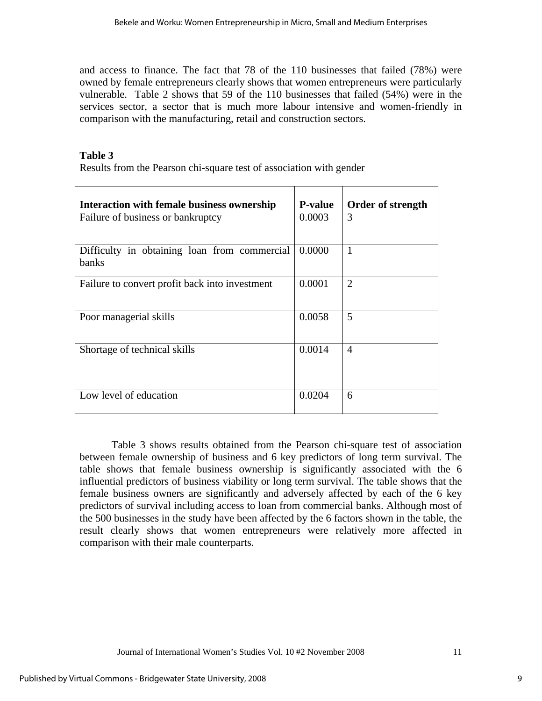and access to finance. The fact that 78 of the 110 businesses that failed (78%) were owned by female entrepreneurs clearly shows that women entrepreneurs were particularly vulnerable. Table 2 shows that 59 of the 110 businesses that failed (54%) were in the services sector, a sector that is much more labour intensive and women-friendly in comparison with the manufacturing, retail and construction sectors.

# **Table 3**

Results from the Pearson chi-square test of association with gender

| <b>Interaction with female business ownership</b>     | <b>P-value</b> | Order of strength |
|-------------------------------------------------------|----------------|-------------------|
| Failure of business or bankruptcy                     | 0.0003         | 3                 |
| Difficulty in obtaining loan from commercial<br>banks | 0.0000         | $\mathbf{1}$      |
| Failure to convert profit back into investment        | 0.0001         | $\overline{2}$    |
| Poor managerial skills                                | 0.0058         | 5                 |
| Shortage of technical skills                          | 0.0014         | $\overline{4}$    |
| Low level of education                                | 0.0204         | 6                 |

Table 3 shows results obtained from the Pearson chi-square test of association between female ownership of business and 6 key predictors of long term survival. The table shows that female business ownership is significantly associated with the 6 influential predictors of business viability or long term survival. The table shows that the female business owners are significantly and adversely affected by each of the 6 key predictors of survival including access to loan from commercial banks. Although most of the 500 businesses in the study have been affected by the 6 factors shown in the table, the result clearly shows that women entrepreneurs were relatively more affected in comparison with their male counterparts.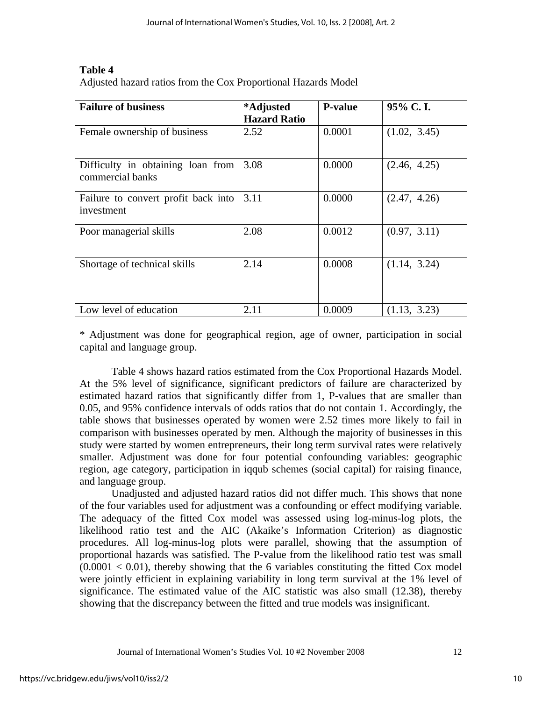# **Table 4**

Adjusted hazard ratios from the Cox Proportional Hazards Model

| <b>Failure of business</b>                            | *Adjusted           | <b>P-value</b> | 95% C.I.     |
|-------------------------------------------------------|---------------------|----------------|--------------|
|                                                       | <b>Hazard Ratio</b> |                |              |
| Female ownership of business                          | 2.52                | 0.0001         | (1.02, 3.45) |
| Difficulty in obtaining loan from<br>commercial banks | 3.08                | 0.0000         | (2.46, 4.25) |
| Failure to convert profit back into<br>investment     | 3.11                | 0.0000         | (2.47, 4.26) |
| Poor managerial skills                                | 2.08                | 0.0012         | (0.97, 3.11) |
| Shortage of technical skills                          | 2.14                | 0.0008         | (1.14, 3.24) |
| Low level of education                                | 2.11                | 0.0009         | (1.13, 3.23) |

\* Adjustment was done for geographical region, age of owner, participation in social capital and language group.

Table 4 shows hazard ratios estimated from the Cox Proportional Hazards Model. At the 5% level of significance, significant predictors of failure are characterized by estimated hazard ratios that significantly differ from 1, P-values that are smaller than 0.05, and 95% confidence intervals of odds ratios that do not contain 1. Accordingly, the table shows that businesses operated by women were 2.52 times more likely to fail in comparison with businesses operated by men. Although the majority of businesses in this study were started by women entrepreneurs, their long term survival rates were relatively smaller. Adjustment was done for four potential confounding variables: geographic region, age category, participation in iqqub schemes (social capital) for raising finance, and language group.

Unadjusted and adjusted hazard ratios did not differ much. This shows that none of the four variables used for adjustment was a confounding or effect modifying variable. The adequacy of the fitted Cox model was assessed using log-minus-log plots, the likelihood ratio test and the AIC (Akaike's Information Criterion) as diagnostic procedures. All log-minus-log plots were parallel, showing that the assumption of proportional hazards was satisfied. The P-value from the likelihood ratio test was small  $(0.0001 < 0.01)$ , thereby showing that the 6 variables constituting the fitted Cox model were jointly efficient in explaining variability in long term survival at the 1% level of significance. The estimated value of the AIC statistic was also small (12.38), thereby showing that the discrepancy between the fitted and true models was insignificant.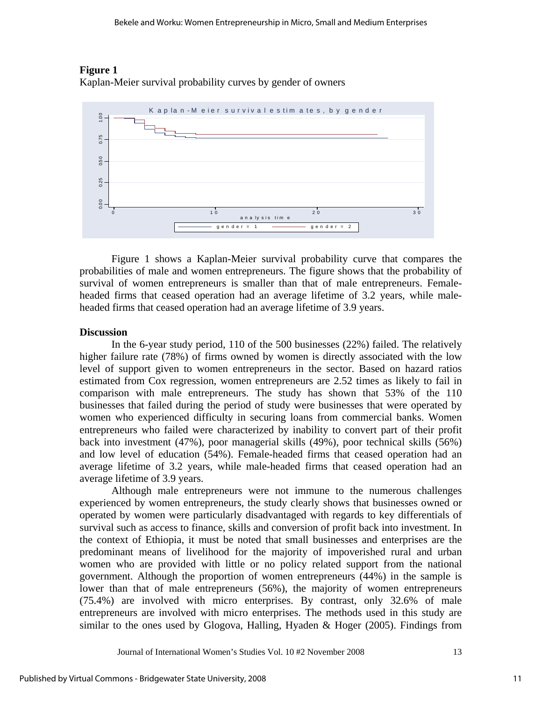

# **Figure 1**

Kaplan-Meier survival probability curves by gender of owners

Figure 1 shows a Kaplan-Meier survival probability curve that compares the probabilities of male and women entrepreneurs. The figure shows that the probability of survival of women entrepreneurs is smaller than that of male entrepreneurs. Femaleheaded firms that ceased operation had an average lifetime of 3.2 years, while maleheaded firms that ceased operation had an average lifetime of 3.9 years.

#### **Discussion**

In the 6-year study period, 110 of the 500 businesses (22%) failed. The relatively higher failure rate (78%) of firms owned by women is directly associated with the low level of support given to women entrepreneurs in the sector. Based on hazard ratios estimated from Cox regression, women entrepreneurs are 2.52 times as likely to fail in comparison with male entrepreneurs. The study has shown that 53% of the 110 businesses that failed during the period of study were businesses that were operated by women who experienced difficulty in securing loans from commercial banks. Women entrepreneurs who failed were characterized by inability to convert part of their profit back into investment (47%), poor managerial skills (49%), poor technical skills (56%) and low level of education (54%). Female-headed firms that ceased operation had an average lifetime of 3.2 years, while male-headed firms that ceased operation had an average lifetime of 3.9 years.

Although male entrepreneurs were not immune to the numerous challenges experienced by women entrepreneurs, the study clearly shows that businesses owned or operated by women were particularly disadvantaged with regards to key differentials of survival such as access to finance, skills and conversion of profit back into investment. In the context of Ethiopia, it must be noted that small businesses and enterprises are the predominant means of livelihood for the majority of impoverished rural and urban women who are provided with little or no policy related support from the national government. Although the proportion of women entrepreneurs (44%) in the sample is lower than that of male entrepreneurs (56%), the majority of women entrepreneurs (75.4%) are involved with micro enterprises. By contrast, only 32.6% of male entrepreneurs are involved with micro enterprises. The methods used in this study are similar to the ones used by Glogova, Halling, Hyaden & Hoger (2005). Findings from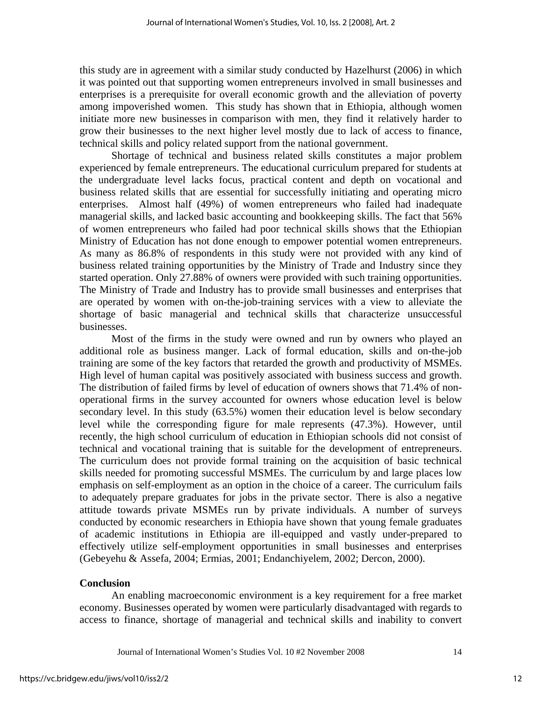this study are in agreement with a similar study conducted by Hazelhurst (2006) in which it was pointed out that supporting women entrepreneurs involved in small businesses and enterprises is a prerequisite for overall economic growth and the alleviation of poverty among impoverished women. This study has shown that in Ethiopia, although women initiate more new businesses in comparison with men, they find it relatively harder to grow their businesses to the next higher level mostly due to lack of access to finance, technical skills and policy related support from the national government.

Shortage of technical and business related skills constitutes a major problem experienced by female entrepreneurs. The educational curriculum prepared for students at the undergraduate level lacks focus, practical content and depth on vocational and business related skills that are essential for successfully initiating and operating micro enterprises. Almost half (49%) of women entrepreneurs who failed had inadequate managerial skills, and lacked basic accounting and bookkeeping skills. The fact that 56% of women entrepreneurs who failed had poor technical skills shows that the Ethiopian Ministry of Education has not done enough to empower potential women entrepreneurs. As many as 86.8% of respondents in this study were not provided with any kind of business related training opportunities by the Ministry of Trade and Industry since they started operation. Only 27.88% of owners were provided with such training opportunities. The Ministry of Trade and Industry has to provide small businesses and enterprises that are operated by women with on-the-job-training services with a view to alleviate the shortage of basic managerial and technical skills that characterize unsuccessful businesses.

Most of the firms in the study were owned and run by owners who played an additional role as business manger. Lack of formal education, skills and on-the-job training are some of the key factors that retarded the growth and productivity of MSMEs. High level of human capital was positively associated with business success and growth. The distribution of failed firms by level of education of owners shows that 71.4% of nonoperational firms in the survey accounted for owners whose education level is below secondary level. In this study (63.5%) women their education level is below secondary level while the corresponding figure for male represents (47.3%). However, until recently, the high school curriculum of education in Ethiopian schools did not consist of technical and vocational training that is suitable for the development of entrepreneurs. The curriculum does not provide formal training on the acquisition of basic technical skills needed for promoting successful MSMEs. The curriculum by and large places low emphasis on self-employment as an option in the choice of a career. The curriculum fails to adequately prepare graduates for jobs in the private sector. There is also a negative attitude towards private MSMEs run by private individuals. A number of surveys conducted by economic researchers in Ethiopia have shown that young female graduates of academic institutions in Ethiopia are ill-equipped and vastly under-prepared to effectively utilize self-employment opportunities in small businesses and enterprises (Gebeyehu & Assefa, 2004; Ermias, 2001; Endanchiyelem, 2002; Dercon, 2000).

### **Conclusion**

An enabling macroeconomic environment is a key requirement for a free market economy. Businesses operated by women were particularly disadvantaged with regards to access to finance, shortage of managerial and technical skills and inability to convert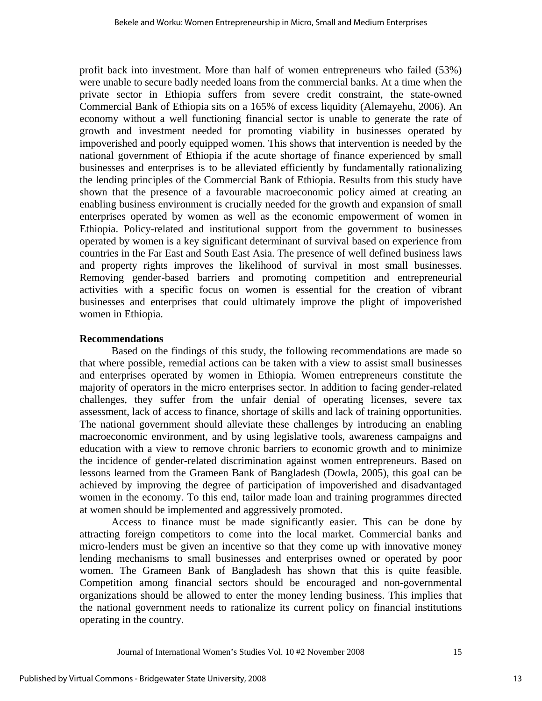profit back into investment. More than half of women entrepreneurs who failed (53%) were unable to secure badly needed loans from the commercial banks. At a time when the private sector in Ethiopia suffers from severe credit constraint, the state-owned Commercial Bank of Ethiopia sits on a 165% of excess liquidity (Alemayehu, 2006). An economy without a well functioning financial sector is unable to generate the rate of growth and investment needed for promoting viability in businesses operated by impoverished and poorly equipped women. This shows that intervention is needed by the national government of Ethiopia if the acute shortage of finance experienced by small businesses and enterprises is to be alleviated efficiently by fundamentally rationalizing the lending principles of the Commercial Bank of Ethiopia. Results from this study have shown that the presence of a favourable macroeconomic policy aimed at creating an enabling business environment is crucially needed for the growth and expansion of small enterprises operated by women as well as the economic empowerment of women in Ethiopia. Policy-related and institutional support from the government to businesses operated by women is a key significant determinant of survival based on experience from countries in the Far East and South East Asia. The presence of well defined business laws and property rights improves the likelihood of survival in most small businesses. Removing gender-based barriers and promoting competition and entrepreneurial activities with a specific focus on women is essential for the creation of vibrant businesses and enterprises that could ultimately improve the plight of impoverished women in Ethiopia.

### **Recommendations**

Based on the findings of this study, the following recommendations are made so that where possible, remedial actions can be taken with a view to assist small businesses and enterprises operated by women in Ethiopia. Women entrepreneurs constitute the majority of operators in the micro enterprises sector. In addition to facing gender-related challenges, they suffer from the unfair denial of operating licenses, severe tax assessment, lack of access to finance, shortage of skills and lack of training opportunities. The national government should alleviate these challenges by introducing an enabling macroeconomic environment, and by using legislative tools, awareness campaigns and education with a view to remove chronic barriers to economic growth and to minimize the incidence of gender-related discrimination against women entrepreneurs. Based on lessons learned from the Grameen Bank of Bangladesh (Dowla, 2005), this goal can be achieved by improving the degree of participation of impoverished and disadvantaged women in the economy. To this end, tailor made loan and training programmes directed at women should be implemented and aggressively promoted.

Access to finance must be made significantly easier. This can be done by attracting foreign competitors to come into the local market. Commercial banks and micro-lenders must be given an incentive so that they come up with innovative money lending mechanisms to small businesses and enterprises owned or operated by poor women. The Grameen Bank of Bangladesh has shown that this is quite feasible. Competition among financial sectors should be encouraged and non-governmental organizations should be allowed to enter the money lending business. This implies that the national government needs to rationalize its current policy on financial institutions operating in the country.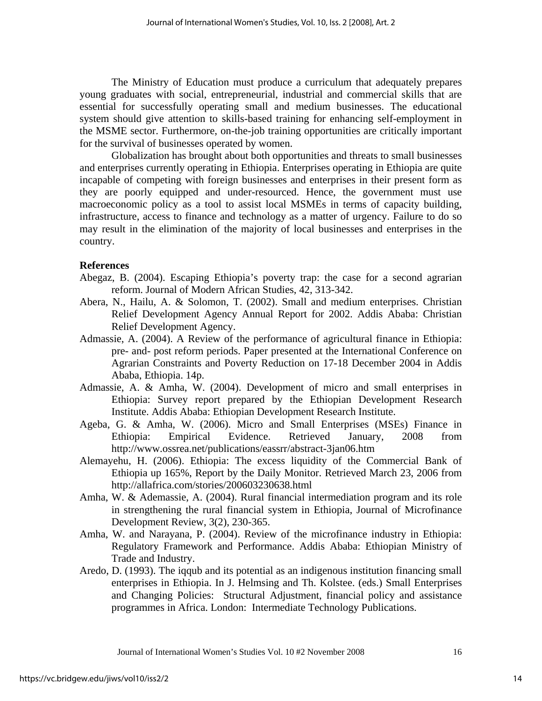The Ministry of Education must produce a curriculum that adequately prepares young graduates with social, entrepreneurial, industrial and commercial skills that are essential for successfully operating small and medium businesses. The educational system should give attention to skills-based training for enhancing self-employment in the MSME sector. Furthermore, on-the-job training opportunities are critically important for the survival of businesses operated by women.

Globalization has brought about both opportunities and threats to small businesses and enterprises currently operating in Ethiopia. Enterprises operating in Ethiopia are quite incapable of competing with foreign businesses and enterprises in their present form as they are poorly equipped and under-resourced. Hence, the government must use macroeconomic policy as a tool to assist local MSMEs in terms of capacity building, infrastructure, access to finance and technology as a matter of urgency. Failure to do so may result in the elimination of the majority of local businesses and enterprises in the country.

# **References**

- Abegaz, B. (2004). Escaping Ethiopia's poverty trap: the case for a second agrarian reform. Journal of Modern African Studies, 42, 313-342.
- Abera, N., Hailu, A. & Solomon, T. (2002). Small and medium enterprises. Christian Relief Development Agency Annual Report for 2002. Addis Ababa: Christian Relief Development Agency.
- Admassie, A. (2004). A Review of the performance of agricultural finance in Ethiopia: pre- and- post reform periods. Paper presented at the International Conference on Agrarian Constraints and Poverty Reduction on 17-18 December 2004 in Addis Ababa, Ethiopia. 14p.
- Admassie, A. & Amha, W. (2004). Development of micro and small enterprises in Ethiopia: Survey report prepared by the Ethiopian Development Research Institute. Addis Ababa: Ethiopian Development Research Institute.
- Ageba, G. & Amha, W. (2006). Micro and Small Enterprises (MSEs) Finance in Ethiopia: Empirical Evidence. Retrieved January, 2008 from http://www.ossrea.net/publications/eassrr/abstract-3jan06.htm
- Alemayehu, H. (2006). Ethiopia: The excess liquidity of the Commercial Bank of Ethiopia up 165%, Report by the Daily Monitor. Retrieved March 23, 2006 from http://allafrica.com/stories/200603230638.html
- Amha, W. & Ademassie, A. (2004). Rural financial intermediation program and its role in strengthening the rural financial system in Ethiopia, Journal of Microfinance Development Review, 3(2), 230-365.
- Amha, W. and Narayana, P. (2004). Review of the microfinance industry in Ethiopia: Regulatory Framework and Performance. Addis Ababa: Ethiopian Ministry of Trade and Industry.
- Aredo, D. (1993). The iqqub and its potential as an indigenous institution financing small enterprises in Ethiopia. In J. Helmsing and Th. Kolstee. (eds.) Small Enterprises and Changing Policies: Structural Adjustment, financial policy and assistance programmes in Africa. London: Intermediate Technology Publications.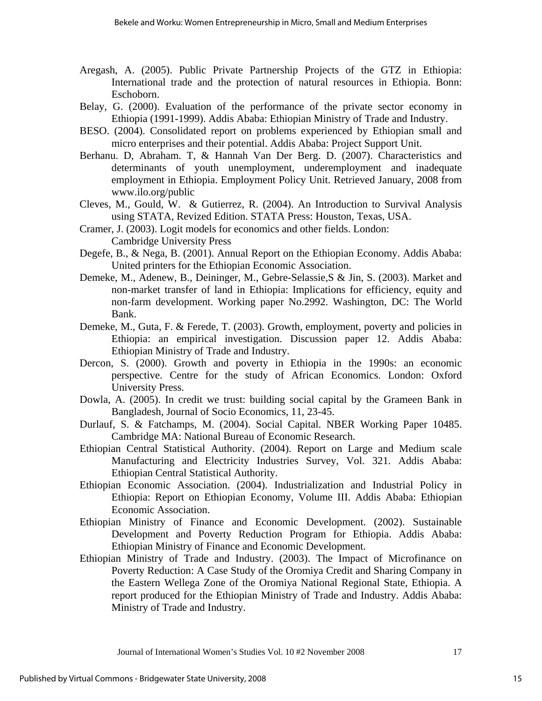- Aregash, A. (2005). Public Private Partnership Projects of the GTZ in Ethiopia: International trade and the protection of natural resources in Ethiopia. Bonn: Eschoborn.
- Belay, G. (2000). Evaluation of the performance of the private sector economy in Ethiopia (1991-1999). Addis Ababa: Ethiopian Ministry of Trade and Industry.
- BESO. (2004). Consolidated report on problems experienced by Ethiopian small and micro enterprises and their potential. Addis Ababa: Project Support Unit.
- Berhanu. D, Abraham. T, & Hannah Van Der Berg. D. (2007). Characteristics and determinants of youth unemployment, underemployment and inadequate employment in Ethiopia. Employment Policy Unit. Retrieved January, 2008 from www.ilo.org/public
- Cleves, M., Gould, W. & Gutierrez, R. (2004). An Introduction to Survival Analysis using STATA, Revized Edition. STATA Press: Houston, Texas, USA.
- Cramer, J. (2003). Logit models for economics and other fields. London: Cambridge University Press
- Degefe, B., & Nega, B. (2001). Annual Report on the Ethiopian Economy. Addis Ababa: United printers for the Ethiopian Economic Association.
- Demeke, M., Adenew, B., Deininger, M., Gebre-Selassie,S & Jin, S. (2003). Market and non-market transfer of land in Ethiopia: Implications for efficiency, equity and non-farm development. Working paper No.2992. Washington, DC: The World Bank.
- Demeke, M., Guta, F. & Ferede, T. (2003). Growth, employment, poverty and policies in Ethiopia: an empirical investigation. Discussion paper 12. Addis Ababa: Ethiopian Ministry of Trade and Industry.
- Dercon, S. (2000). Growth and poverty in Ethiopia in the 1990s: an economic perspective. Centre for the study of African Economics. London: Oxford University Press.
- Dowla, A. (2005). In credit we trust: building social capital by the Grameen Bank in Bangladesh, Journal of Socio Economics, 11, 23-45.
- Durlauf, S. & Fatchamps, M. (2004). Social Capital. NBER Working Paper 10485. Cambridge MA: National Bureau of Economic Research.
- Ethiopian Central Statistical Authority. (2004). Report on Large and Medium scale Manufacturing and Electricity Industries Survey, Vol. 321. Addis Ababa: Ethiopian Central Statistical Authority.
- Ethiopian Economic Association. (2004). Industrialization and Industrial Policy in Ethiopia: Report on Ethiopian Economy, Volume III. Addis Ababa: Ethiopian Economic Association.
- Ethiopian Ministry of Finance and Economic Development. (2002). Sustainable Development and Poverty Reduction Program for Ethiopia. Addis Ababa: Ethiopian Ministry of Finance and Economic Development.
- Ethiopian Ministry of Trade and Industry. (2003). The Impact of Microfinance on Poverty Reduction: A Case Study of the Oromiya Credit and Sharing Company in the Eastern Wellega Zone of the Oromiya National Regional State, Ethiopia. A report produced for the Ethiopian Ministry of Trade and Industry. Addis Ababa: Ministry of Trade and Industry.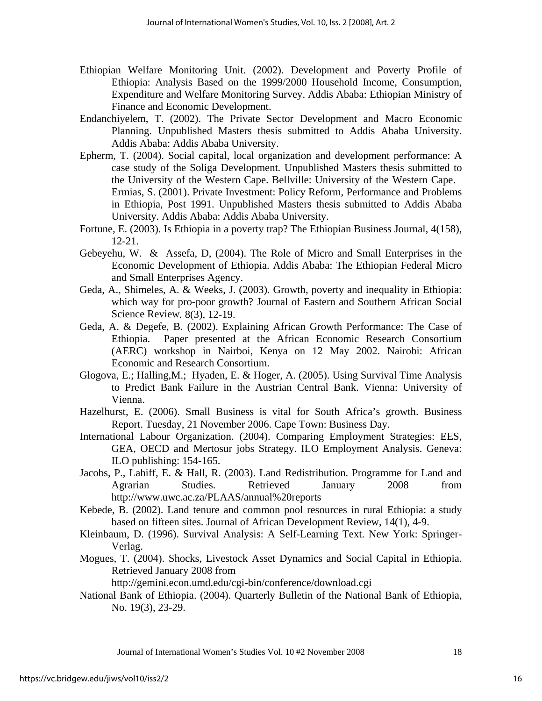- Ethiopian Welfare Monitoring Unit. (2002). Development and Poverty Profile of Ethiopia: Analysis Based on the 1999/2000 Household Income, Consumption, Expenditure and Welfare Monitoring Survey. Addis Ababa: Ethiopian Ministry of Finance and Economic Development.
- Endanchiyelem, T. (2002). The Private Sector Development and Macro Economic Planning. Unpublished Masters thesis submitted to Addis Ababa University. Addis Ababa: Addis Ababa University.
- Epherm, T. (2004). Social capital, local organization and development performance: A case study of the Soliga Development*.* Unpublished Masters thesis submitted to the University of the Western Cape. Bellville: University of the Western Cape. Ermias, S. (2001). Private Investment: Policy Reform, Performance and Problems in Ethiopia, Post 1991. Unpublished Masters thesis submitted to Addis Ababa University. Addis Ababa: Addis Ababa University.
- Fortune, E. (2003). Is Ethiopia in a poverty trap? The Ethiopian Business Journal, 4(158), 12-21.
- Gebeyehu, W. & Assefa, D, (2004). The Role of Micro and Small Enterprises in the Economic Development of Ethiopia. Addis Ababa: The Ethiopian Federal Micro and Small Enterprises Agency.
- Geda, A., Shimeles, A. & Weeks, J. (2003). Growth, poverty and inequality in Ethiopia: which way for pro-poor growth? Journal of Eastern and Southern African Social Science Review*.* 8(3), 12-19.
- Geda, A. & Degefe, B. (2002). Explaining African Growth Performance: The Case of Ethiopia. Paper presented at the African Economic Research Consortium (AERC) workshop in Nairboi, Kenya on 12 May 2002. Nairobi: African Economic and Research Consortium.
- Glogova, E.; Halling,M.; Hyaden, E. & Hoger, A. (2005). Using Survival Time Analysis to Predict Bank Failure in the Austrian Central Bank. Vienna: University of Vienna.
- Hazelhurst, E. (2006). Small Business is vital for South Africa's growth. Business Report. Tuesday, 21 November 2006. Cape Town: Business Day.
- International Labour Organization. (2004). Comparing Employment Strategies: EES, GEA, OECD and Mertosur jobs Strategy. ILO Employment Analysis. Geneva: ILO publishing: 154-165.
- Jacobs, P., Lahiff, E. & Hall, R. (2003). Land Redistribution. Programme for Land and Agrarian Studies. Retrieved January 2008 from http://www.uwc.ac.za/PLAAS/annual%20reports
- Kebede, B. (2002). Land tenure and common pool resources in rural Ethiopia: a study based on fifteen sites. Journal of African Development Review, 14(1), 4-9.
- Kleinbaum, D. (1996). Survival Analysis: A Self-Learning Text. New York: Springer-Verlag.
- Mogues, T. (2004). Shocks, Livestock Asset Dynamics and Social Capital in Ethiopia. Retrieved January 2008 from

http://gemini.econ.umd.edu/cgi-bin/conference/download.cgi

National Bank of Ethiopia. (2004). Quarterly Bulletin of the National Bank of Ethiopia, No. 19(3), 23-29.